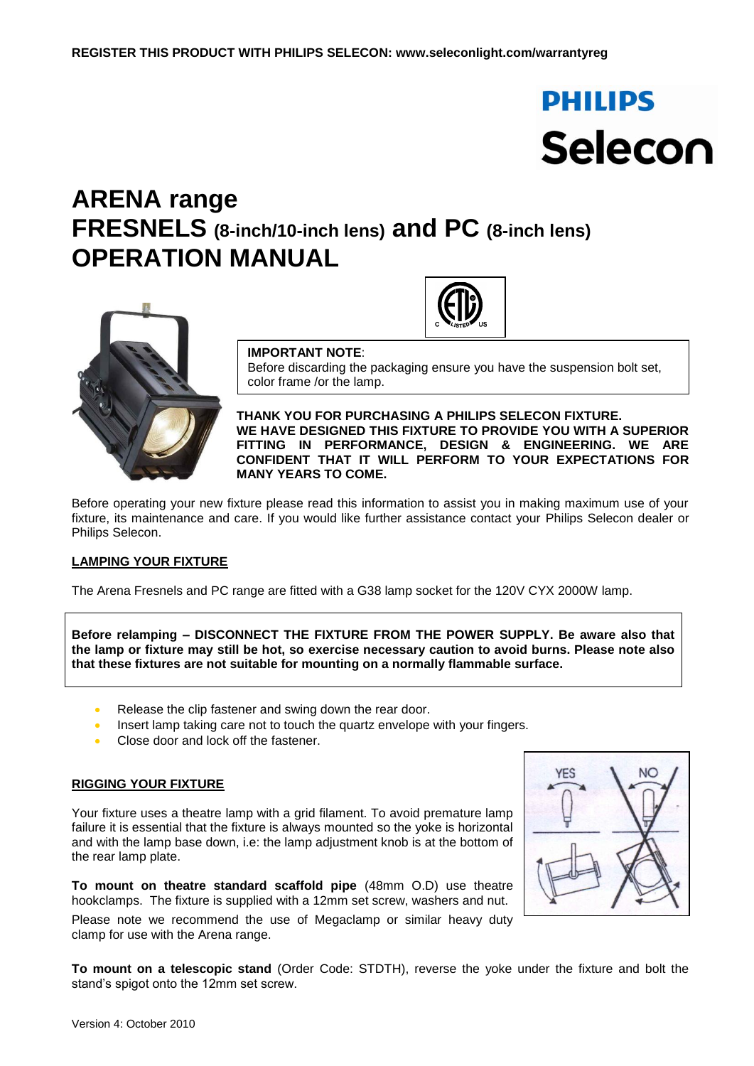# **PHILIPS** Selecon

# **ARENA range FRESNELS (8-inch/10-inch lens) and PC (8-inch lens) OPERATION MANUAL**



#### **IMPORTANT NOTE**:

Before discarding the packaging ensure you have the suspension bolt set, color frame /or the lamp.

**THANK YOU FOR PURCHASING A PHILIPS SELECON FIXTURE. WE HAVE DESIGNED THIS FIXTURE TO PROVIDE YOU WITH A SUPERIOR FITTING IN PERFORMANCE, DESIGN & ENGINEERING. WE ARE CONFIDENT THAT IT WILL PERFORM TO YOUR EXPECTATIONS FOR MANY YEARS TO COME.**

Before operating your new fixture please read this information to assist you in making maximum use of your fixture, its maintenance and care. If you would like further assistance contact your Philips Selecon dealer or Philips Selecon.

### **LAMPING YOUR FIXTURE**

The Arena Fresnels and PC range are fitted with a G38 lamp socket for the 120V CYX 2000W lamp.

**Before relamping – DISCONNECT THE FIXTURE FROM THE POWER SUPPLY. Be aware also that the lamp or fixture may still be hot, so exercise necessary caution to avoid burns. Please note also that these fixtures are not suitable for mounting on a normally flammable surface.**

- Release the clip fastener and swing down the rear door.
- Insert lamp taking care not to touch the quartz envelope with your fingers.
- Close door and lock off the fastener.

#### **RIGGING YOUR FIXTURE**

Your fixture uses a theatre lamp with a grid filament. To avoid premature lamp failure it is essential that the fixture is always mounted so the yoke is horizontal and with the lamp base down, i.e: the lamp adjustment knob is at the bottom of the rear lamp plate.

**To mount on theatre standard scaffold pipe** (48mm O.D) use theatre hookclamps. The fixture is supplied with a 12mm set screw, washers and nut.

Please note we recommend the use of Megaclamp or similar heavy duty clamp for use with the Arena range.



**To mount on a telescopic stand** (Order Code: STDTH), reverse the yoke under the fixture and bolt the stand's spigot onto the 12mm set screw.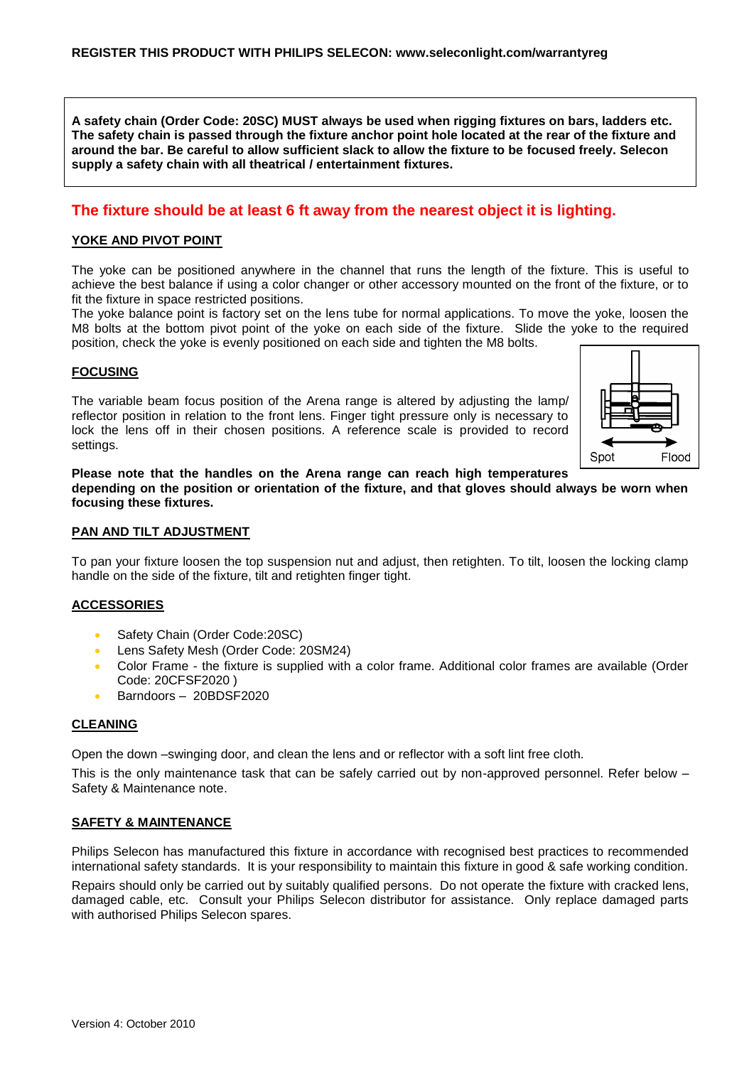**A safety chain (Order Code: 20SC) MUST always be used when rigging fixtures on bars, ladders etc. The safety chain is passed through the fixture anchor point hole located at the rear of the fixture and around the bar. Be careful to allow sufficient slack to allow the fixture to be focused freely. Selecon supply a safety chain with all theatrical / entertainment fixtures.**

## **The fixture should be at least 6 ft away from the nearest object it is lighting.**

#### **YOKE AND PIVOT POINT**

The yoke can be positioned anywhere in the channel that runs the length of the fixture. This is useful to achieve the best balance if using a color changer or other accessory mounted on the front of the fixture, or to fit the fixture in space restricted positions.

The yoke balance point is factory set on the lens tube for normal applications. To move the yoke, loosen the M8 bolts at the bottom pivot point of the yoke on each side of the fixture. Slide the yoke to the required position, check the yoke is evenly positioned on each side and tighten the M8 bolts.

#### **FOCUSING**

The variable beam focus position of the Arena range is altered by adjusting the lamp/ reflector position in relation to the front lens. Finger tight pressure only is necessary to lock the lens off in their chosen positions. A reference scale is provided to record settings.



**Please note that the handles on the Arena range can reach high temperatures** 

**depending on the position or orientation of the fixture, and that gloves should always be worn when focusing these fixtures.**

#### **PAN AND TILT ADJUSTMENT**

To pan your fixture loosen the top suspension nut and adjust, then retighten. To tilt, loosen the locking clamp handle on the side of the fixture, tilt and retighten finger tight.

#### **ACCESSORIES**

- Safety Chain (Order Code: 20SC)
- **Lens Safety Mesh (Order Code: 20SM24)**
- Color Frame the fixture is supplied with a color frame. Additional color frames are available (Order Code: 20CFSF2020 )
- Barndoors 20BDSF2020

#### **CLEANING**

Open the down –swinging door, and clean the lens and or reflector with a soft lint free cloth.

This is the only maintenance task that can be safely carried out by non-approved personnel. Refer below – Safety & Maintenance note.

#### **SAFETY & MAINTENANCE**

Philips Selecon has manufactured this fixture in accordance with recognised best practices to recommended international safety standards. It is your responsibility to maintain this fixture in good & safe working condition.

Repairs should only be carried out by suitably qualified persons. Do not operate the fixture with cracked lens, damaged cable, etc. Consult your Philips Selecon distributor for assistance. Only replace damaged parts with authorised Philips Selecon spares.